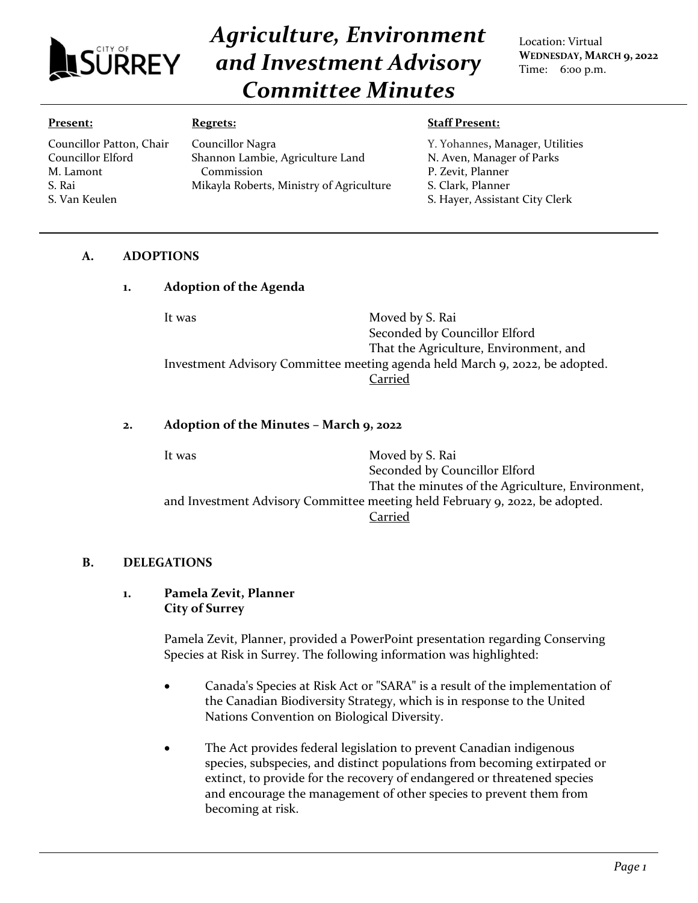

Councillor Patton, Chair Councillor Elford M. Lamont S. Rai

# *Agriculture, Environment and Investment Advisory Committee Minutes*

Location: Virtual **WEDNESDAY, MARCH 9, 2022** Time: 6:00 p.m.

#### **Present:**

S. Van Keulen

## **Regrets:**

Councillor Nagra Shannon Lambie, Agriculture Land Commission Mikayla Roberts, Ministry of Agriculture

#### **Staff Present:**

Y. Yohannes**,** Manager, Utilities N. Aven, Manager of Parks P. Zevit, Planner S. Clark, Planner S. Hayer, Assistant City Clerk

# **A. ADOPTIONS**

## **1. Adoption of the Agenda**

It was Moved by S. Rai Seconded by Councillor Elford That the Agriculture, Environment, and Investment Advisory Committee meeting agenda held March 9, 2022, be adopted. Carried

## **2. Adoption of the Minutes – March 9, 2022**

It was Moved by S. Rai Seconded by Councillor Elford That the minutes of the Agriculture, Environment, and Investment Advisory Committee meeting held February 9, 2022, be adopted. Carried

## **B. DELEGATIONS**

## **1. Pamela Zevit, Planner City of Surrey**

Pamela Zevit, Planner, provided a PowerPoint presentation regarding Conserving Species at Risk in Surrey. The following information was highlighted:

- Canada's Species at Risk Act or "SARA" is a result of the implementation of the Canadian Biodiversity Strategy, which is in response to the United Nations Convention on Biological Diversity.
- The Act provides federal legislation to prevent Canadian indigenous species, subspecies, and distinct populations from becoming extirpated or extinct, to provide for the recovery of endangered or threatened species and encourage the management of other species to prevent them from becoming at risk.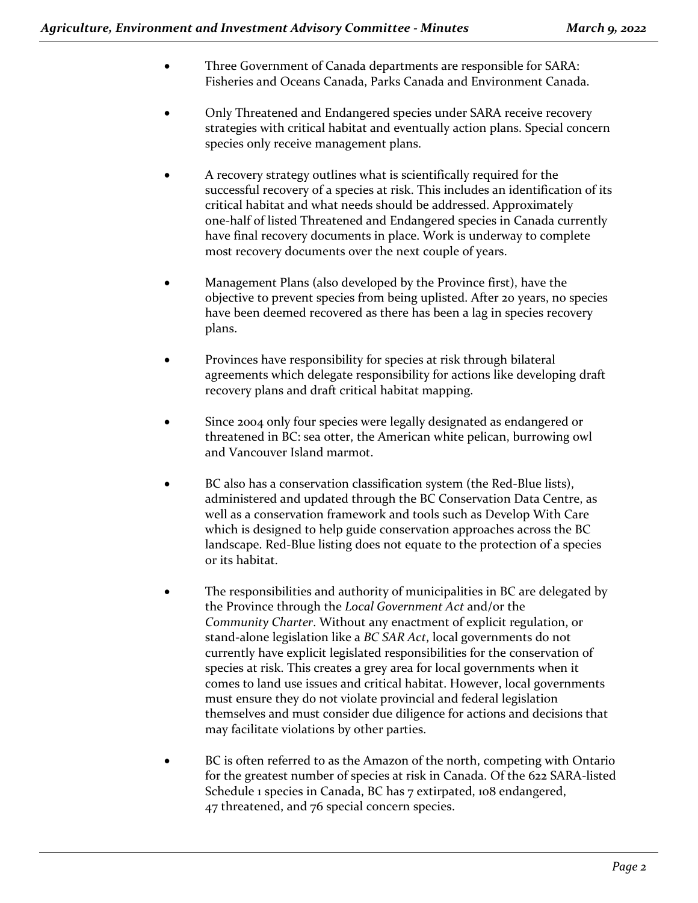- Three Government of Canada departments are responsible for SARA: Fisheries and Oceans Canada, Parks Canada and Environment Canada.
- Only Threatened and Endangered species under SARA receive recovery strategies with critical habitat and eventually action plans. Special concern species only receive management plans.
- A recovery strategy outlines what is scientifically required for the successful recovery of a species at risk. This includes an identification of its critical habitat and what needs should be addressed. Approximately one-half of listed Threatened and Endangered species in Canada currently have final recovery documents in place. Work is underway to complete most recovery documents over the next couple of years.
- Management Plans (also developed by the Province first), have the objective to prevent species from being uplisted. After 20 years, no species have been deemed recovered as there has been a lag in species recovery plans.
- Provinces have responsibility for species at risk through bilateral agreements which delegate responsibility for actions like developing draft recovery plans and draft critical habitat mapping.
- Since 2004 only four species were legally designated as endangered or threatened in BC: sea otter, the American white pelican, burrowing owl and Vancouver Island marmot.
- BC also has a conservation classification system (the Red-Blue lists), administered and updated through the BC Conservation Data Centre, as well as a conservation framework and tools such as Develop With Care which is designed to help guide conservation approaches across the BC landscape. Red-Blue listing does not equate to the protection of a species or its habitat.
- The responsibilities and authority of municipalities in BC are delegated by the Province through the *Local Government Act* and/or the *Community Charter*. Without any enactment of explicit regulation, or stand-alone legislation like a *BC SAR Act*, local governments do not currently have explicit legislated responsibilities for the conservation of species at risk. This creates a grey area for local governments when it comes to land use issues and critical habitat. However, local governments must ensure they do not violate provincial and federal legislation themselves and must consider due diligence for actions and decisions that may facilitate violations by other parties.
- BC is often referred to as the Amazon of the north, competing with Ontario for the greatest number of species at risk in Canada. Of the 622 SARA-listed Schedule 1 species in Canada, BC has 7 extirpated, 108 endangered, 47 threatened, and 76 special concern species.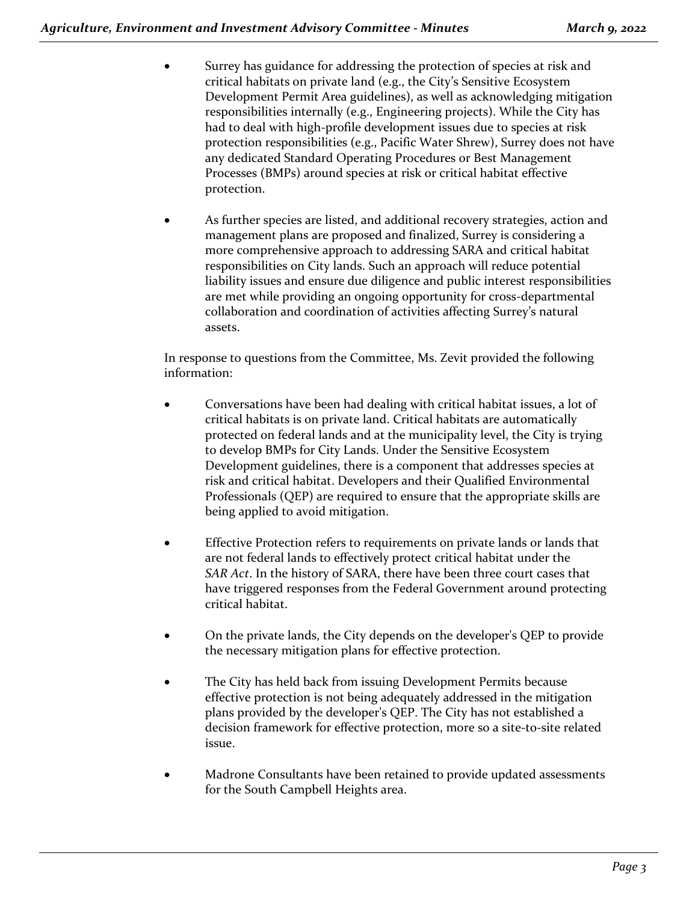- Surrey has guidance for addressing the protection of species at risk and critical habitats on private land (e.g., the City's Sensitive Ecosystem Development Permit Area guidelines), as well as acknowledging mitigation responsibilities internally (e.g., Engineering projects). While the City has had to deal with high-profile development issues due to species at risk protection responsibilities (e.g., Pacific Water Shrew), Surrey does not have any dedicated Standard Operating Procedures or Best Management Processes (BMPs) around species at risk or critical habitat effective protection.
- As further species are listed, and additional recovery strategies, action and management plans are proposed and finalized, Surrey is considering a more comprehensive approach to addressing SARA and critical habitat responsibilities on City lands. Such an approach will reduce potential liability issues and ensure due diligence and public interest responsibilities are met while providing an ongoing opportunity for cross-departmental collaboration and coordination of activities affecting Surrey's natural assets.

In response to questions from the Committee, Ms. Zevit provided the following information:

- Conversations have been had dealing with critical habitat issues, a lot of critical habitats is on private land. Critical habitats are automatically protected on federal lands and at the municipality level, the City is trying to develop BMPs for City Lands. Under the Sensitive Ecosystem Development guidelines, there is a component that addresses species at risk and critical habitat. Developers and their Qualified Environmental Professionals (QEP) are required to ensure that the appropriate skills are being applied to avoid mitigation.
- Effective Protection refers to requirements on private lands or lands that are not federal lands to effectively protect critical habitat under the *SAR Act*. In the history of SARA, there have been three court cases that have triggered responses from the Federal Government around protecting critical habitat.
- On the private lands, the City depends on the developer's QEP to provide the necessary mitigation plans for effective protection.
- The City has held back from issuing Development Permits because effective protection is not being adequately addressed in the mitigation plans provided by the developer's QEP. The City has not established a decision framework for effective protection, more so a site-to-site related issue.
- Madrone Consultants have been retained to provide updated assessments for the South Campbell Heights area.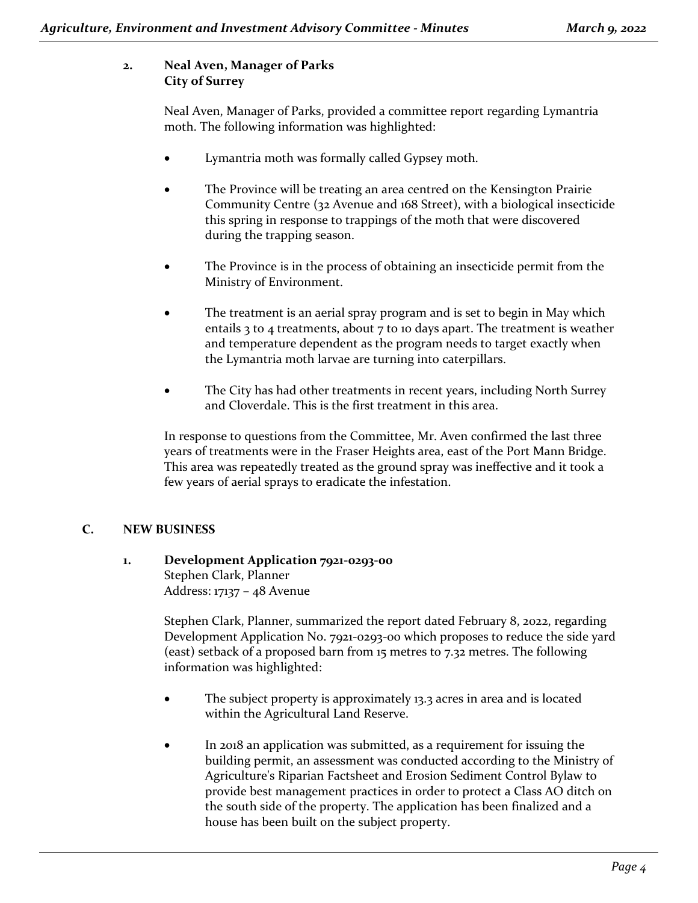# **2. Neal Aven, Manager of Parks City of Surrey**

Neal Aven, Manager of Parks, provided a committee report regarding Lymantria moth. The following information was highlighted:

- Lymantria moth was formally called Gypsey moth.
- The Province will be treating an area centred on the Kensington Prairie Community Centre (32 Avenue and 168 Street), with a biological insecticide this spring in response to trappings of the moth that were discovered during the trapping season.
- The Province is in the process of obtaining an insecticide permit from the Ministry of Environment.
- The treatment is an aerial spray program and is set to begin in May which entails 3 to 4 treatments, about 7 to 10 days apart. The treatment is weather and temperature dependent as the program needs to target exactly when the Lymantria moth larvae are turning into caterpillars.
- The City has had other treatments in recent years, including North Surrey and Cloverdale. This is the first treatment in this area.

In response to questions from the Committee, Mr. Aven confirmed the last three years of treatments were in the Fraser Heights area, east of the Port Mann Bridge. This area was repeatedly treated as the ground spray was ineffective and it took a few years of aerial sprays to eradicate the infestation.

# **C. NEW BUSINESS**

# **1. Development Application 7921-0293-00**

Stephen Clark, Planner Address: 17137 – 48 Avenue

Stephen Clark, Planner, summarized the report dated February 8, 2022, regarding Development Application No. 7921-0293-00 which proposes to reduce the side yard (east) setback of a proposed barn from 15 metres to 7.32 metres. The following information was highlighted:

- The subject property is approximately 13.3 acres in area and is located within the Agricultural Land Reserve.
- In 2018 an application was submitted, as a requirement for issuing the building permit, an assessment was conducted according to the Ministry of Agriculture's Riparian Factsheet and Erosion Sediment Control Bylaw to provide best management practices in order to protect a Class AO ditch on the south side of the property. The application has been finalized and a house has been built on the subject property.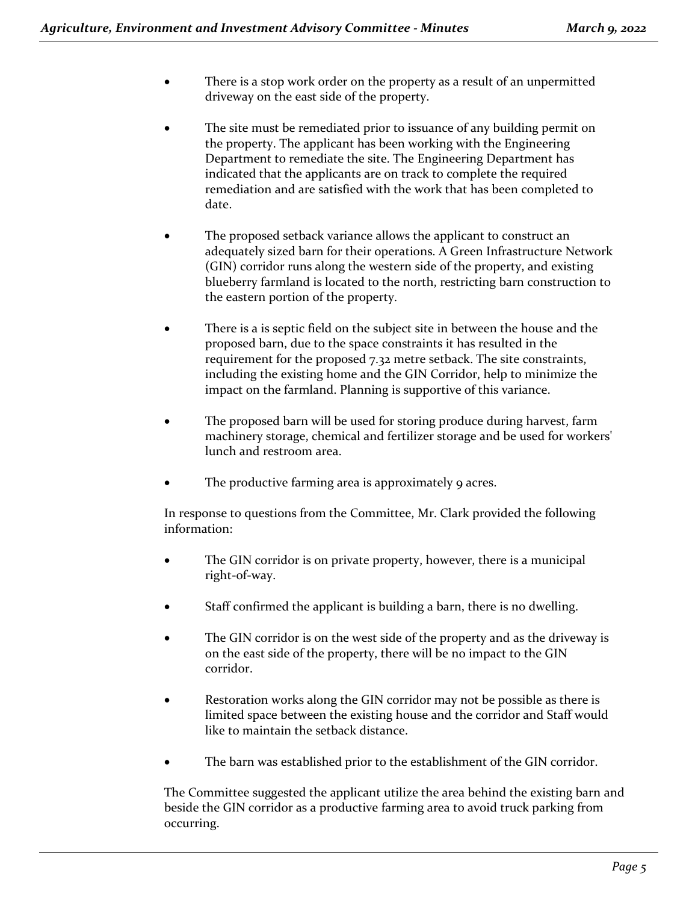- There is a stop work order on the property as a result of an unpermitted driveway on the east side of the property.
- The site must be remediated prior to issuance of any building permit on the property. The applicant has been working with the Engineering Department to remediate the site. The Engineering Department has indicated that the applicants are on track to complete the required remediation and are satisfied with the work that has been completed to date.
- The proposed setback variance allows the applicant to construct an adequately sized barn for their operations. A Green Infrastructure Network (GIN) corridor runs along the western side of the property, and existing blueberry farmland is located to the north, restricting barn construction to the eastern portion of the property.
- There is a is septic field on the subject site in between the house and the proposed barn, due to the space constraints it has resulted in the requirement for the proposed 7.32 metre setback. The site constraints, including the existing home and the GIN Corridor, help to minimize the impact on the farmland. Planning is supportive of this variance.
- The proposed barn will be used for storing produce during harvest, farm machinery storage, chemical and fertilizer storage and be used for workers' lunch and restroom area.
- The productive farming area is approximately 9 acres.

In response to questions from the Committee, Mr. Clark provided the following information:

- The GIN corridor is on private property, however, there is a municipal right-of-way.
- Staff confirmed the applicant is building a barn, there is no dwelling.
- The GIN corridor is on the west side of the property and as the driveway is on the east side of the property, there will be no impact to the GIN corridor.
- Restoration works along the GIN corridor may not be possible as there is limited space between the existing house and the corridor and Staff would like to maintain the setback distance.
- The barn was established prior to the establishment of the GIN corridor.

The Committee suggested the applicant utilize the area behind the existing barn and beside the GIN corridor as a productive farming area to avoid truck parking from occurring.